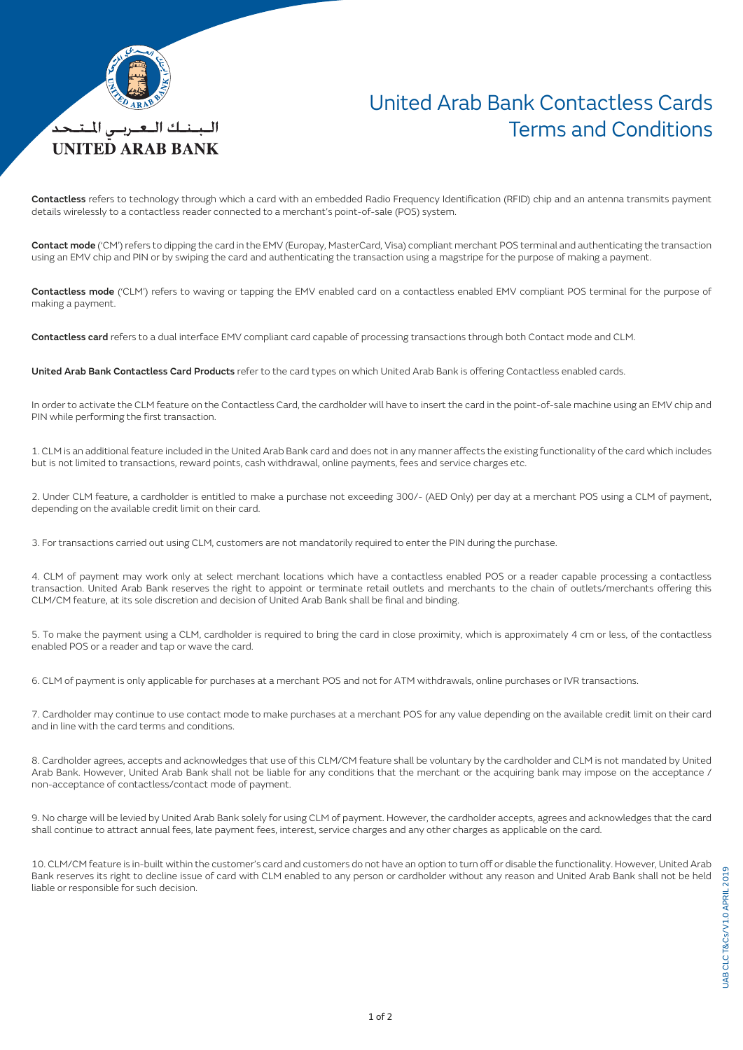

## United Arab Bank Contactless Cards Terms and Conditions

Contactless refers to technology through which a card with an embedded Radio Frequency Identification (RFID) chip and an antenna transmits payment details wirelessly to a contactless reader connected to a merchant's point-of-sale (POS) system.

Contact mode ('CM') refers to dipping the card in the EMV (Europay, MasterCard, Visa) compliant merchant POS terminal and authenticating the transaction using an EMV chip and PIN or by swiping the card and authenticating the transaction using a magstripe for the purpose of making a payment.

Contactless mode ('CLM') refers to waving or tapping the EMV enabled card on a contactless enabled EMV compliant POS terminal for the purpose of making a payment.

Contactless card refers to a dual interface EMV compliant card capable of processing transactions through both Contact mode and CLM.

United Arab Bank Contactless Card Products refer to the card types on which United Arab Bank is offering Contactless enabled cards.

In order to activate the CLM feature on the Contactless Card, the cardholder will have to insert the card in the point-of-sale machine using an EMV chip and PIN while performing the first transaction.

1. CLM is an additional feature included in the United Arab Bank card and does not in any manner affects the existing functionality of the card which includes but is not limited to transactions, reward points, cash withdrawal, online payments, fees and service charges etc.

2. Under CLM feature, a cardholder is entitled to make a purchase not exceeding 300/- (AED Only) per day at a merchant POS using a CLM of payment, depending on the available credit limit on their card.

3. For transactions carried out using CLM, customers are not mandatorily required to enter the PIN during the purchase.

4. CLM of payment may work only at select merchant locations which have a contactless enabled POS or a reader capable processing a contactless transaction. United Arab Bank reserves the right to appoint or terminate retail outlets and merchants to the chain of outlets/merchants offering this CLM/CM feature, at its sole discretion and decision of United Arab Bank shall be final and binding.

5. To make the payment using a CLM, cardholder is required to bring the card in close proximity, which is approximately 4 cm or less, of the contactless enabled POS or a reader and tap or wave the card.

6. CLM of payment is only applicable for purchases at a merchant POS and not for ATM withdrawals, online purchases or IVR transactions.

7. Cardholder may continue to use contact mode to make purchases at a merchant POS for any value depending on the available credit limit on their card and in line with the card terms and conditions.

8. Cardholder agrees, accepts and acknowledges that use of this CLM/CM feature shall be voluntary by the cardholder and CLM is not mandated by United Arab Bank. However, United Arab Bank shall not be liable for any conditions that the merchant or the acquiring bank may impose on the acceptance / non-acceptance of contactless/contact mode of payment.

9. No charge will be levied by United Arab Bank solely for using CLM of payment. However, the cardholder accepts, agrees and acknowledges that the card shall continue to attract annual fees, late payment fees, interest, service charges and any other charges as applicable on the card.

10. CLM/CM feature is in-built within the customer's card and customers do not have an option to turn off or disable the functionality. However, United Arab Bank reserves its right to decline issue of card with CLM enabled to any person or cardholder without any reason and United Arab Bank shall not be held liable or responsible for such decision.